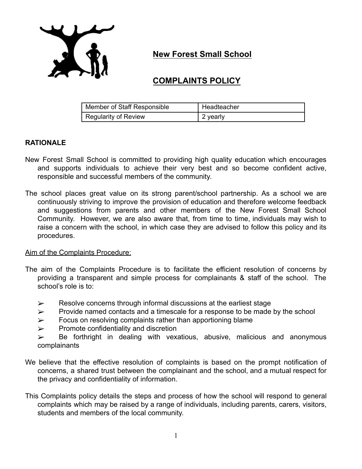

**New Forest Small School**

# **COMPLAINTS POLICY**

| Member of Staff Responsible | Headteacher |
|-----------------------------|-------------|
| Regularity of Review        | 2 yearly    |

# **RATIONALE**

- New Forest Small School is committed to providing high quality education which encourages and supports individuals to achieve their very best and so become confident active, responsible and successful members of the community.
- The school places great value on its strong parent/school partnership. As a school we are continuously striving to improve the provision of education and therefore welcome feedback and suggestions from parents and other members of the New Forest Small School Community. However, we are also aware that, from time to time, individuals may wish to raise a concern with the school, in which case they are advised to follow this policy and its procedures.

## Aim of the Complaints Procedure:

- The aim of the Complaints Procedure is to facilitate the efficient resolution of concerns by providing a transparent and simple process for complainants & staff of the school. The school's role is to:
	- $\triangleright$  Resolve concerns through informal discussions at the earliest stage
	- $\triangleright$  Provide named contacts and a timescale for a response to be made by the school
	- $\triangleright$  Focus on resolving complaints rather than apportioning blame
	- $\triangleright$  Promote confidentiality and discretion

 $\triangleright$  Be forthright in dealing with vexatious, abusive, malicious and anonymous complainants

- We believe that the effective resolution of complaints is based on the prompt notification of concerns, a shared trust between the complainant and the school, and a mutual respect for the privacy and confidentiality of information.
- This Complaints policy details the steps and process of how the school will respond to general complaints which may be raised by a range of individuals, including parents, carers, visitors, students and members of the local community.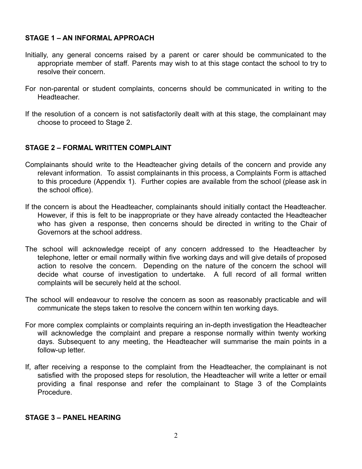#### **STAGE 1 – AN INFORMAL APPROACH**

- Initially, any general concerns raised by a parent or carer should be communicated to the appropriate member of staff. Parents may wish to at this stage contact the school to try to resolve their concern.
- For non-parental or student complaints, concerns should be communicated in writing to the Headteacher.
- If the resolution of a concern is not satisfactorily dealt with at this stage, the complainant may choose to proceed to Stage 2.

## **STAGE 2 – FORMAL WRITTEN COMPLAINT**

- Complainants should write to the Headteacher giving details of the concern and provide any relevant information. To assist complainants in this process, a Complaints Form is attached to this procedure (Appendix 1). Further copies are available from the school (please ask in the school office).
- If the concern is about the Headteacher, complainants should initially contact the Headteacher. However, if this is felt to be inappropriate or they have already contacted the Headteacher who has given a response, then concerns should be directed in writing to the Chair of Governors at the school address.
- The school will acknowledge receipt of any concern addressed to the Headteacher by telephone, letter or email normally within five working days and will give details of proposed action to resolve the concern. Depending on the nature of the concern the school will decide what course of investigation to undertake. A full record of all formal written complaints will be securely held at the school.
- The school will endeavour to resolve the concern as soon as reasonably practicable and will communicate the steps taken to resolve the concern within ten working days.
- For more complex complaints or complaints requiring an in-depth investigation the Headteacher will acknowledge the complaint and prepare a response normally within twenty working days. Subsequent to any meeting, the Headteacher will summarise the main points in a follow-up letter.
- If, after receiving a response to the complaint from the Headteacher, the complainant is not satisfied with the proposed steps for resolution, the Headteacher will write a letter or email providing a final response and refer the complainant to Stage 3 of the Complaints Procedure.

#### **STAGE 3 – PANEL HEARING**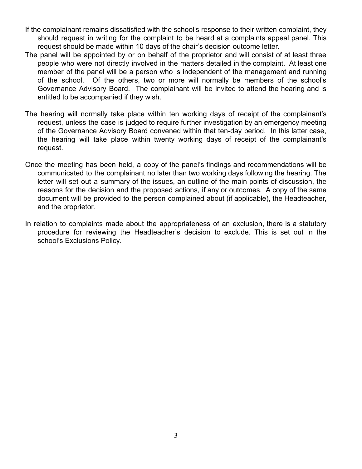- If the complainant remains dissatisfied with the school's response to their written complaint, they should request in writing for the complaint to be heard at a complaints appeal panel. This request should be made within 10 days of the chair's decision outcome letter.
- The panel will be appointed by or on behalf of the proprietor and will consist of at least three people who were not directly involved in the matters detailed in the complaint. At least one member of the panel will be a person who is independent of the management and running of the school. Of the others, two or more will normally be members of the school's Governance Advisory Board. The complainant will be invited to attend the hearing and is entitled to be accompanied if they wish.
- The hearing will normally take place within ten working days of receipt of the complainant's request, unless the case is judged to require further investigation by an emergency meeting of the Governance Advisory Board convened within that ten-day period. In this latter case, the hearing will take place within twenty working days of receipt of the complainant's request.
- Once the meeting has been held, a copy of the panel's findings and recommendations will be communicated to the complainant no later than two working days following the hearing. The letter will set out a summary of the issues, an outline of the main points of discussion, the reasons for the decision and the proposed actions, if any or outcomes. A copy of the same document will be provided to the person complained about (if applicable), the Headteacher, and the proprietor.
- In relation to complaints made about the appropriateness of an exclusion, there is a statutory procedure for reviewing the Headteacher's decision to exclude. This is set out in the school's Exclusions Policy.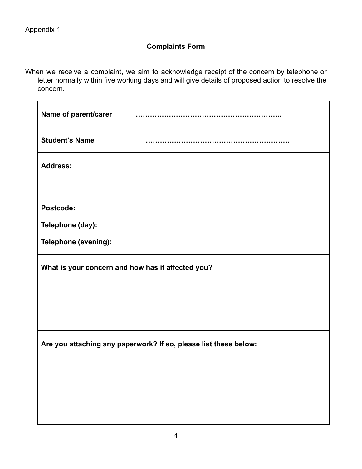# **Complaints Form**

When we receive a complaint, we aim to acknowledge receipt of the concern by telephone or letter normally within five working days and will give details of proposed action to resolve the concern.

| Name of parent/carer                                             |  |  |
|------------------------------------------------------------------|--|--|
| <b>Student's Name</b>                                            |  |  |
| <b>Address:</b>                                                  |  |  |
|                                                                  |  |  |
| Postcode:                                                        |  |  |
| Telephone (day):                                                 |  |  |
| Telephone (evening):                                             |  |  |
| What is your concern and how has it affected you?                |  |  |
|                                                                  |  |  |
|                                                                  |  |  |
|                                                                  |  |  |
| Are you attaching any paperwork? If so, please list these below: |  |  |
|                                                                  |  |  |
|                                                                  |  |  |
|                                                                  |  |  |
|                                                                  |  |  |